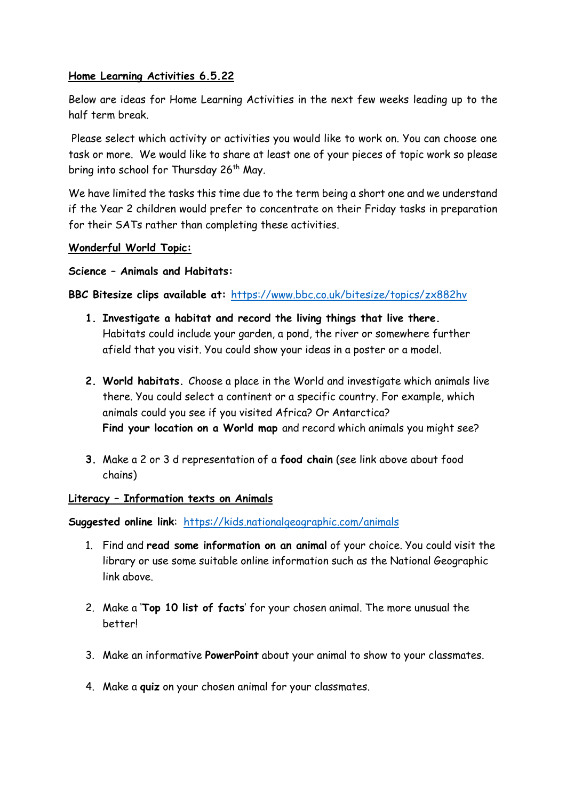# **Home Learning Activities 6.5.22**

Below are ideas for Home Learning Activities in the next few weeks leading up to the half term break.

Please select which activity or activities you would like to work on. You can choose one task or more. We would like to share at least one of your pieces of topic work so please bring into school for Thursday 26<sup>th</sup> May.

We have limited the tasks this time due to the term being a short one and we understand if the Year 2 children would prefer to concentrate on their Friday tasks in preparation for their SATs rather than completing these activities.

### **Wonderful World Topic:**

### **Science – Animals and Habitats:**

# **BBC Bitesize clips available at:** <https://www.bbc.co.uk/bitesize/topics/zx882hv>

- **1. Investigate a habitat and record the living things that live there.** Habitats could include your garden, a pond, the river or somewhere further afield that you visit. You could show your ideas in a poster or a model.
- **2. World habitats.** Choose a place in the World and investigate which animals live there. You could select a continent or a specific country. For example, which animals could you see if you visited Africa? Or Antarctica? **Find your location on a World map** and record which animals you might see?
- **3.** Make a 2 or 3 d representation of a **food chain** (see link above about food chains)

### **Literacy – Information texts on Animals**

**Suggested online link**: <https://kids.nationalgeographic.com/animals>

- 1. Find and **read some information on an animal** of your choice. You could visit the library or use some suitable online information such as the National Geographic link above.
- 2. Make a '**Top 10 list of facts**' for your chosen animal. The more unusual the **better!**
- 3. Make an informative **PowerPoint** about your animal to show to your classmates.
- 4. Make a **quiz** on your chosen animal for your classmates.